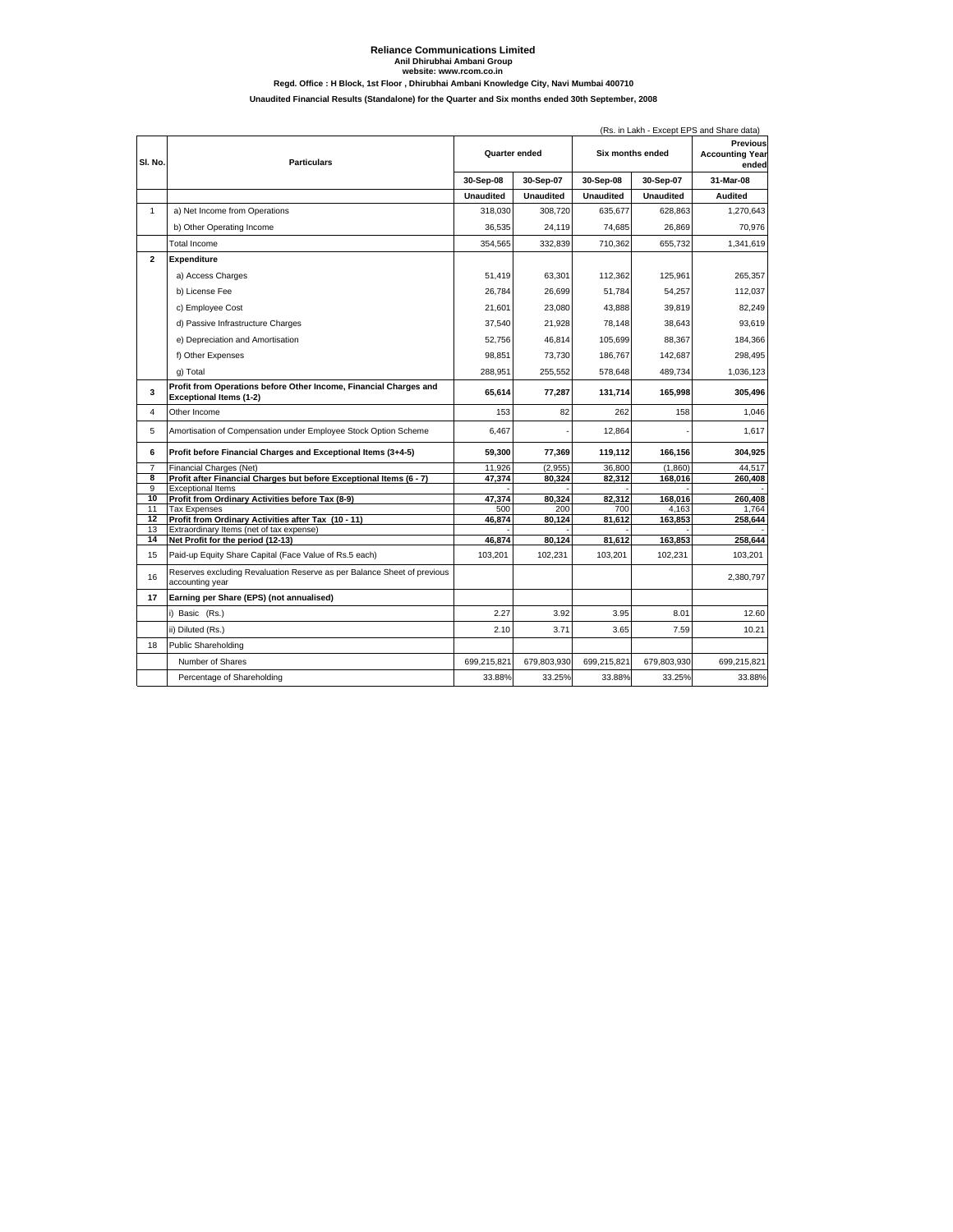## **Reliance Communications Limited Anil Dhirubhai Ambani Group Regd. Office : H Block, 1st Floor , Dhirubhai Ambani Knowledge City, Navi Mumbai 400710 website: www.rcom.co.in Unaudited Financial Results (Standalone) for the Quarter and Six months ended 30th September, 2008**

|                |                                                                                                 | (Rs. in Lakh - Except EPS and Share data) |                  |                  |                  |                                             |  |
|----------------|-------------------------------------------------------------------------------------------------|-------------------------------------------|------------------|------------------|------------------|---------------------------------------------|--|
| SI. No.        | <b>Particulars</b>                                                                              | Quarter ended                             |                  | Six months ended |                  | Previous<br><b>Accounting Year</b><br>ended |  |
|                |                                                                                                 | 30-Sep-08                                 | 30-Sep-07        | 30-Sep-08        | 30-Sep-07        | 31-Mar-08                                   |  |
|                |                                                                                                 | <b>Unaudited</b>                          | <b>Unaudited</b> | <b>Unaudited</b> | <b>Unaudited</b> | <b>Audited</b>                              |  |
| $\mathbf{1}$   | a) Net Income from Operations                                                                   | 318,030                                   | 308,720          | 635,677          | 628,863          | 1,270,643                                   |  |
|                | b) Other Operating Income                                                                       | 36,535                                    | 24,119           | 74,685           | 26,869           | 70,976                                      |  |
|                | <b>Total Income</b>                                                                             | 354,565                                   | 332,839          | 710,362          | 655,732          | 1,341,619                                   |  |
| $\mathbf{2}$   | Expenditure                                                                                     |                                           |                  |                  |                  |                                             |  |
|                | a) Access Charges                                                                               | 51.419                                    | 63,301           | 112,362          | 125,961          | 265.357                                     |  |
|                | b) License Fee                                                                                  | 26,784                                    | 26,699           | 51,784           | 54,257           | 112,037                                     |  |
|                | c) Employee Cost                                                                                | 21.601                                    | 23.080           | 43.888           | 39.819           | 82.249                                      |  |
|                |                                                                                                 |                                           |                  |                  |                  |                                             |  |
|                | d) Passive Infrastructure Charges                                                               | 37,540                                    | 21,928           | 78,148           | 38,643           | 93,619                                      |  |
|                | e) Depreciation and Amortisation                                                                | 52,756                                    | 46,814           | 105,699          | 88,367           | 184,366                                     |  |
|                | f) Other Expenses                                                                               | 98,851                                    | 73,730           | 186,767          | 142,687          | 298,495                                     |  |
|                | g) Total                                                                                        | 288,951                                   | 255,552          | 578,648          | 489,734          | 1,036,123                                   |  |
| 3              | Profit from Operations before Other Income, Financial Charges and<br>Exceptional Items (1-2)    | 65.614                                    | 77,287           | 131.714          | 165,998          | 305,496                                     |  |
| 4              | Other Income                                                                                    | 153                                       | 82               | 262              | 158              | 1.046                                       |  |
| 5              | Amortisation of Compensation under Employee Stock Option Scheme                                 | 6,467                                     |                  | 12,864           |                  | 1.617                                       |  |
| 6              | Profit before Financial Charges and Exceptional Items (3+4-5)                                   | 59,300                                    | 77,369           | 119,112          | 166,156          | 304,925                                     |  |
| $\overline{7}$ | Financial Charges (Net)                                                                         | 11,926                                    | (2,955)          | 36,800           | (1.860)          | 44.517                                      |  |
| 8<br>9         | Profit after Financial Charges but before Exceptional Items (6 - 7)<br><b>Exceptional Items</b> | 47,374                                    | 80,324           | 82,312           | 168,016          | 260,408                                     |  |
| 10             | Profit from Ordinary Activities before Tax (8-9)                                                | 47.374                                    | 80.324           | 82.312           | 168.016          | 260.408                                     |  |
| 11             | <b>Tax Expenses</b>                                                                             | 500                                       | 200              | 700              | 4,163            | 1.764                                       |  |
| 12<br>13       | Profit from Ordinary Activities after Tax (10 - 11)<br>Extraordinary Items (net of tax expense) | 46,874                                    | 80,124           | 81,612           | 163,853          | 258,644                                     |  |
| 14             | Net Profit for the period (12-13)                                                               | 46,874                                    | 80,124           | 81,612           | 163,853          | 258,644                                     |  |
| 15             | Paid-up Equity Share Capital (Face Value of Rs.5 each)                                          | 103,201                                   | 102,231          | 103,201          | 102,231          | 103,201                                     |  |
| 16             | Reserves excluding Revaluation Reserve as per Balance Sheet of previous<br>accounting year      |                                           |                  |                  |                  | 2,380,797                                   |  |
| 17             | Earning per Share (EPS) (not annualised)                                                        |                                           |                  |                  |                  |                                             |  |
|                | i) Basic (Rs.)                                                                                  | 2.27                                      | 3.92             | 3.95             | 8.01             | 12.60                                       |  |
|                | ii) Diluted (Rs.)                                                                               | 2.10                                      | 3.71             | 3.65             | 7.59             | 10.21                                       |  |
| 18             | <b>Public Shareholding</b>                                                                      |                                           |                  |                  |                  |                                             |  |
|                | Number of Shares                                                                                | 699,215,821                               | 679.803.930      | 699,215,821      | 679.803.930      | 699,215,821                                 |  |
|                |                                                                                                 |                                           |                  |                  |                  |                                             |  |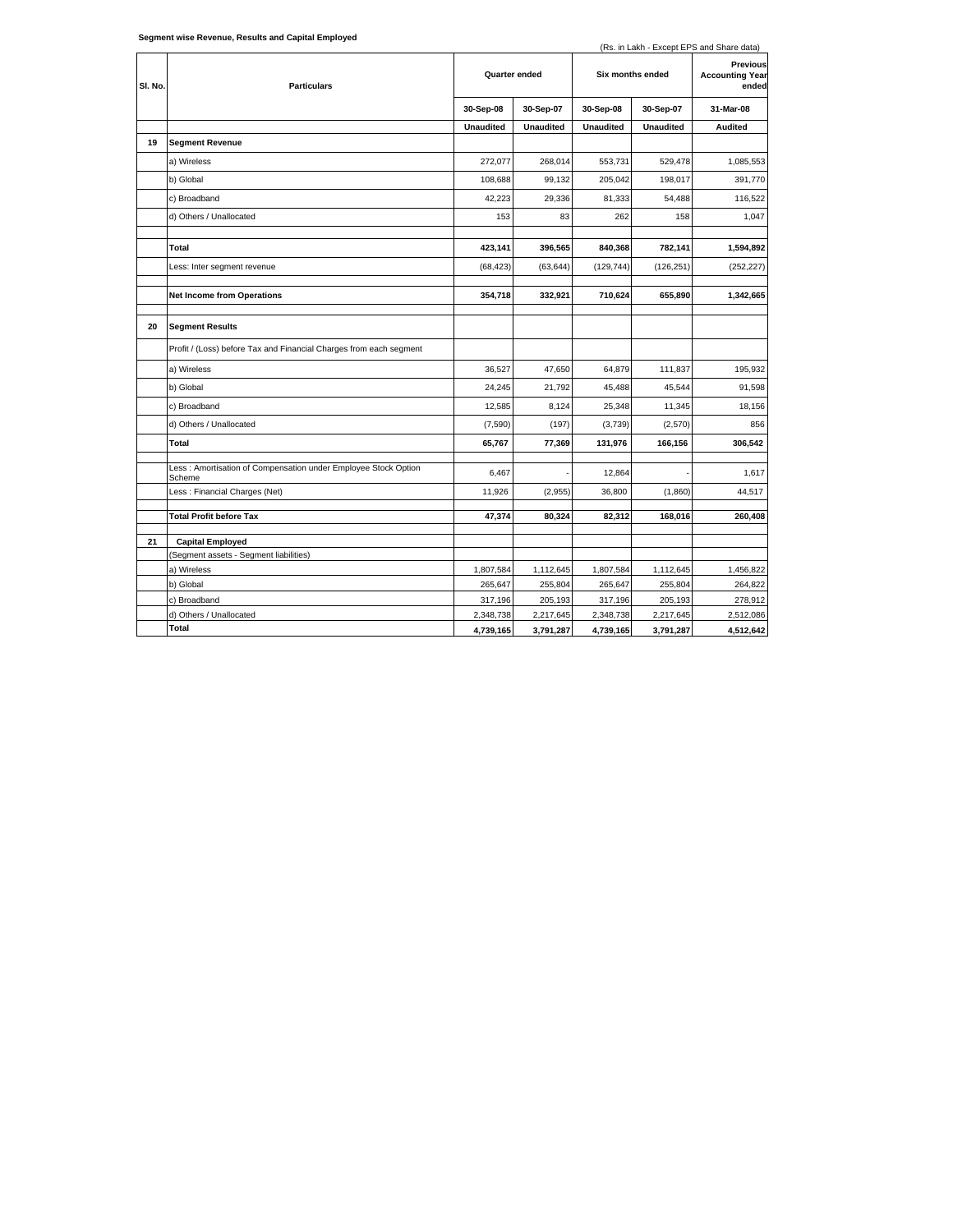|         | Segment wise Revenue, Results and Capital Employed                       |                  |                  |                  |                  | (Rs. in Lakh - Except EPS and Share data)   |
|---------|--------------------------------------------------------------------------|------------------|------------------|------------------|------------------|---------------------------------------------|
| SI. No. | <b>Particulars</b>                                                       | Quarter ended    |                  | Six months ended |                  | Previous<br><b>Accounting Year</b><br>ended |
|         |                                                                          | 30-Sep-08        | 30-Sep-07        | 30-Sep-08        | 30-Sep-07        | 31-Mar-08                                   |
|         |                                                                          | <b>Unaudited</b> | <b>Unaudited</b> | <b>Unaudited</b> | <b>Unaudited</b> | <b>Audited</b>                              |
| 19      | <b>Segment Revenue</b>                                                   |                  |                  |                  |                  |                                             |
|         | a) Wireless                                                              | 272,077          | 268,014          | 553,731          | 529,478          | 1,085,553                                   |
|         | b) Global                                                                | 108,688          | 99,132           | 205,042          | 198,017          | 391,770                                     |
|         | c) Broadband                                                             | 42,223           | 29,336           | 81,333           | 54,488           | 116,522                                     |
|         | d) Others / Unallocated                                                  | 153              | 83               | 262              | 158              | 1,047                                       |
|         | Total                                                                    | 423,141          | 396,565          | 840,368          | 782,141          | 1,594,892                                   |
|         | Less: Inter segment revenue                                              | (68, 423)        | (63, 644)        | (129, 744)       | (126, 251)       | (252, 227)                                  |
|         | <b>Net Income from Operations</b>                                        | 354,718          | 332,921          | 710,624          | 655,890          | 1,342,665                                   |
| 20      | <b>Segment Results</b>                                                   |                  |                  |                  |                  |                                             |
|         | Profit / (Loss) before Tax and Financial Charges from each segment       |                  |                  |                  |                  |                                             |
|         | a) Wireless                                                              | 36,527           | 47,650           | 64,879           | 111,837          | 195,932                                     |
|         | b) Global                                                                | 24,245           | 21,792           | 45,488           | 45,544           | 91.598                                      |
|         | c) Broadband                                                             | 12,585           | 8,124            | 25,348           | 11,345           | 18,156                                      |
|         | d) Others / Unallocated                                                  | (7,590)          | (197)            | (3,739)          | (2,570)          | 856                                         |
|         | Total                                                                    | 65,767           | 77,369           | 131,976          | 166,156          | 306,542                                     |
|         | Less: Amortisation of Compensation under Employee Stock Option<br>Scheme | 6,467            |                  | 12,864           |                  | 1,617                                       |
|         | Less : Financial Charges (Net)                                           | 11,926           | (2,955)          | 36,800           | (1,860)          | 44,517                                      |
|         | <b>Total Profit before Tax</b>                                           | 47,374           | 80,324           | 82,312           | 168,016          | 260,408                                     |
| 21      | <b>Capital Employed</b>                                                  |                  |                  |                  |                  |                                             |
|         | (Segment assets - Segment liabilities)                                   |                  |                  |                  |                  |                                             |
|         | a) Wireless                                                              | 1,807,584        | 1,112,645        | 1,807,584        | 1,112,645        | 1,456,822                                   |
|         | b) Global                                                                | 265,647          | 255,804          | 265,647          | 255,804          | 264,822                                     |
|         | c) Broadband                                                             | 317,196          | 205,193          | 317,196          | 205,193          | 278,912                                     |
|         | d) Others / Unallocated                                                  | 2,348,738        | 2,217,645        | 2,348,738        | 2,217,645        | 2,512,086                                   |
|         | Total                                                                    | 4,739,165        | 3,791,287        | 4,739,165        | 3,791,287        | 4,512,642                                   |